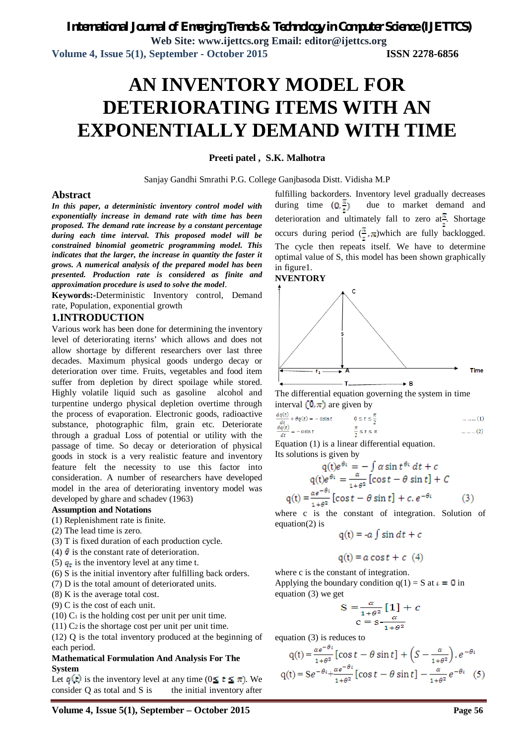# **AN INVENTORY MODEL FOR DETERIORATING ITEMS WITH AN EXPONENTIALLY DEMAND WITH TIME**

**Preeti patel , S.K. Malhotra**

Sanjay Gandhi Smrathi P.G. College Ganjbasoda Distt. Vidisha M.P

# **Abstract**

*In this paper, a deterministic inventory control model with exponentially increase in demand rate with time has been proposed. The demand rate increase by a constant percentage during each time interval. This proposed model will be constrained binomial geometric programming model. This indicates that the larger, the increase in quantity the faster it grows. A numerical analysis of the prepared model has been presented. Production rate is considered as finite and approximation procedure is used to solve the model*.

**Keywords:-**Deterministic Inventory control, Demand rate, Population, exponential growth

# **1.INTRODUCTION**

Various work has been done for determining the inventory level of deteriorating iterns' which allows and does not allow shortage by different researchers over last three decades. Maximum physical goods undergo decay or deterioration over time. Fruits, vegetables and food item suffer from depletion by direct spoilage while stored. Highly volatile liquid such as gasoline alcohol and turpentine undergo physical depletion overtime through the process of evaporation. Electronic goods, radioactive substance, photographic film, grain etc. Deteriorate through a gradual Loss of potential or utility with the passage of time. So decay or deterioration of physical goods in stock is a very realistic feature and inventory feature felt the necessity to use this factor into consideration. A number of researchers have developed model in the area of deteriorating inventory model was developed by ghare and schadev (1963)

#### **Assumption and Notations**

(1) Replenishment rate is finite.

- (2) The lead time is zero.
- (3) T is fixed duration of each production cycle.
- (4)  $\theta$  is the constant rate of deterioration.
- (5)  $q_t$  is the inventory level at any time t.
- (6) S is the initial inventory after fulfilling back orders.
- (7) D is the total amount of deteriorated units.
- (8) K is the average total cost.
- (9) C is the cost of each unit.
- $(10)$  C<sub>1</sub> is the holding cost per unit per unit time.
- $(11)$  C<sub>2</sub> is the shortage cost per unit per unit time.

(12) Q is the total inventory produced at the beginning of each period.

## **Mathematical Formulation And Analysis For The System**

Let  $q(t)$  is the inventory level at any time ( $0 \le t \le \pi$ ). We consider  $Q$  as total and  $S$  is the initial inventory after

fulfilling backorders. Inventory level gradually decreases during time  $(0, \frac{\pi}{\epsilon})$  due to market demand and deterioration and ultimately fall to zero at<sup> $\pm$ </sup>. Shortage occurs during period  $(\frac{\pi}{6}, \pi)$ which are fully backlogged. The cycle then repeats itself. We have to determine optimal value of S, this model has been shown graphically in figure1. **NVENTORY** 



The differential equation governing the system in time interval  $(0, \pi)$  are given by

$$
\frac{aq(t)}{dt} + \theta q(t) = -\alpha \sin t \qquad 0 \le t \le \frac{\pi}{2} \qquad \qquad \dots \dots \dots (1)
$$
  

$$
\frac{dq(t)}{dt} = -\alpha \sin t \qquad \qquad \frac{\pi}{2} \le t \le \pi \qquad \qquad \dots \dots \dots (2)
$$

Equation (1) is a linear differential equation. Its solutions is given by

$$
q(t)e^{\theta t} = -\int \alpha \sin t^{\theta t} dt + c
$$
  
\n
$$
q(t)e^{\theta t} = \frac{\alpha}{1+\theta^2} [\cos t - \theta \sin t] + C
$$
  
\n
$$
q(t) = \frac{\alpha e^{-\theta t}}{1+\theta^2} [\cos t - \theta \sin t] + c e^{-\theta t}
$$
 (3)

where c is the constant of integration. Solution of equation(2) is

$$
q(t) = -a \int \sin dt + c
$$

$$
q(t) = a \cos t + c \ (4)
$$

where c is the constant of integration. Applying the boundary condition  $q(1) = S$  at  $i = 0$  in equation (3) we get

$$
S = \frac{\alpha}{1 + \theta^2} [1] + c
$$
  

$$
c = s - \frac{\alpha}{1 + \theta^2}
$$

equation (3) is reduces to

$$
q(t) = \frac{\alpha e^{-\theta t}}{1 + \theta^2} [\cos t - \theta \sin t] + \left(S - \frac{\alpha}{1 + \theta^2}\right) e^{-\theta t}
$$
  
 
$$
q(t) = S e^{-\theta t} + \frac{\alpha e^{-\theta t}}{1 + \theta^2} [\cos t - \theta \sin t] - \frac{\alpha}{1 + \theta^2} e^{-\theta t} \quad (5)
$$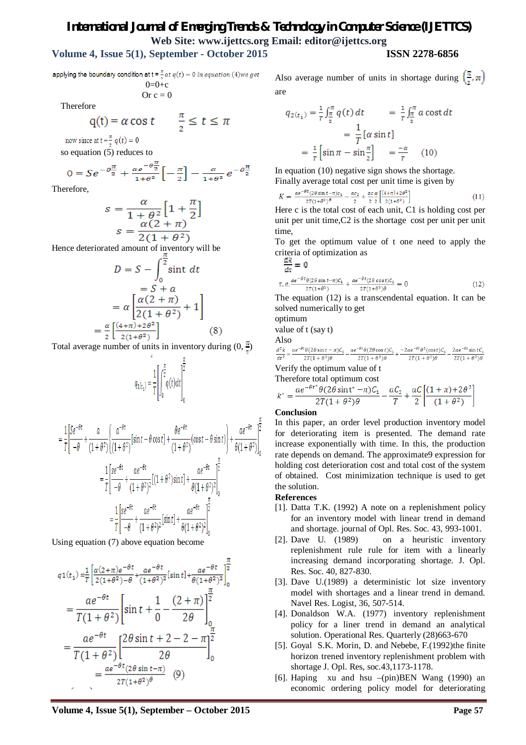# *International Journal of Emerging Trends & Technology in Computer Science (IJETTCS)* **Web Site: www.ijettcs.org Email: editor@ijettcs.org**

# **Volume 4, Issue 5(1), September - October 2015 ISSN 2278-6856**

applying the boundary condition at  $t = \frac{\pi}{6}at q(t) = 0$  in equation (4) we get  $0.01$ c

$$
O=O+C
$$
  
Or c = 0

Therefore

$$
q(t) = \alpha \cos t \qquad \frac{\pi}{2} \le t \le \pi
$$

now since at  $t = \frac{\pi}{2} q(t) = 0$ 

so equation (5) reduces to

$$
0 = Se^{-\theta_{\frac{\pi}{2}}^{\pi}} + \frac{\alpha e^{-\theta_{\frac{\pi}{2}}^{\pi}}}{1 + \theta^2} \left[ -\frac{\pi}{2} \right] - \frac{\alpha}{1 + \theta^2} e^{-\theta_{\frac{\pi}{2}}^{\pi}}
$$

Therefore,

$$
s = \frac{\alpha}{1 + \theta^2} \left[ 1 + \frac{\pi}{2} \right]
$$

$$
s = \frac{\alpha(2 + \pi)}{2(1 + \theta^2)}
$$

Hence deteriorated amount of inventory will be

$$
D = S - \int_0^{\frac{\pi}{2}} \sin t \, dt
$$
  
=  $S + a$   
=  $\alpha \left[ \frac{\alpha (2 + \pi)}{2(1 + \theta^2)} + 1 \right]$   
=  $\frac{\alpha}{2} \left[ \frac{(4 + \pi) + 2\theta^2}{2(1 + \theta^2)} \right]$  (8)

Total average number of units in inventory during  $(0, \frac{\pi}{2})$ 

$$
q_{1(t_1)} = \frac{1}{T} \left[ \int_0^{\frac{\pi}{2}} q(t) dt \right]_0^{\frac{\pi}{2}}
$$

$$
= \frac{1}{T} \left[ \frac{Se^{-\theta t}}{-\theta} + \frac{a}{(1+\theta^2)} \left\{ \frac{a^{-\theta t}}{(1+\theta^2)} \left[ \sin t - \theta \cos t \right] + \frac{\theta e^{-\theta t}}{(1+\theta^2)} (\cos t - \theta \sin t) \right\} + \frac{ae^{-\theta t}}{\theta(1+\theta^2)} \right]_0^{\frac{\pi}{2}}
$$
  

$$
= \frac{1}{T} \left[ \frac{se^{-\theta t}}{-\theta} + \frac{ae^{-\theta t}}{(1+\theta^2)^2} \left[ (1+\theta^2) \sin t \right] + \frac{ae^{-\theta t}}{\theta(1+\theta^2)^2} \right]_0^{\frac{\pi}{2}}
$$
  

$$
= \frac{1}{T} \left[ \frac{se^{-\theta t}}{-\theta} + \frac{ae^{-\theta t}}{(1+\theta^2)^2} \left[ \sin t \right] + \frac{ae^{-\theta t}}{\theta(1+\theta^2)^2} \right]_0^{\frac{\pi}{2}}
$$

Using equation (7) above equation become

$$
q1(t_1) = \frac{1}{T} \left[ \frac{\alpha(2+\pi)e^{-\theta t}}{2(1+\theta^2)-\theta} + \frac{ae^{-\theta t}}{(1+\theta^2)^2} [\sin t] + \frac{ae^{-\theta t}}{\theta(1+\theta^2)^2} \right]_0^{\frac{\pi}{2}}
$$
  
= 
$$
\frac{ae^{-\theta t}}{T(1+\theta^2)} \left[ \sin t + \frac{1}{0} - \frac{(2+\pi)}{2\theta} \right]_0^{\frac{\pi}{2}}
$$
  
= 
$$
\frac{ae^{-\theta t}}{T(1+\theta^2)} \left[ \frac{2\theta \sin t + 2 - 2 - \pi}{2\theta} \right]_0^{\frac{\pi}{2}}
$$
  
= 
$$
\frac{ae^{-\theta t} (2\theta \sin t - \pi)}{2T(1+\theta^2)^{\theta}}
$$
(9)

Also average number of units in shortage during  $\left(\frac{\pi}{4}, \pi\right)$ are

$$
q_{2(t_1)} = \frac{1}{r} \int_{\frac{\pi}{2}}^{\pi} q(t) dt = \frac{1}{r} \int_{\frac{\pi}{2}}^{\pi} a \cos t dt
$$
  
= 
$$
\frac{1}{T} [\alpha \sin t]
$$
  
= 
$$
\frac{1}{r} \left[ \sin \pi - \sin \frac{\pi}{2} \right] = \frac{-\alpha}{r}
$$
 (10)

In equation (10) negative sign shows the shortage. Finally average total cost per unit time is given by

$$
K = \frac{a e^{-\theta t} (2\theta \sin t - \pi) c_1}{2T(1+\theta^2)^{\theta}} - \frac{ac_2}{2} + \frac{ac_2}{2} \frac{\alpha}{2} \left[ \frac{(4+\pi)+2\theta^2}{2(1+\theta^2)} \right]
$$
(11)

Here c is the total cost of each unit, C1 is holding cost per unit per unit time, C<sub>2</sub> is the shortage cost per unit per unit time,

To get the optimum value of t one need to apply the criteria of optimization as

$$
\frac{d\mathbf{R}}{dt} = \mathbf{0}
$$
  
\n
$$
\tau. e. \frac{ae^{-\theta t} \theta (2\theta \sin t - \pi) C_1}{2\tau (1 + \theta^2)} + \frac{ae^{-\theta t} (2\theta \cos t) C_1}{2\tau (1 + \theta^2)\theta} = 0
$$
\n(12)

The equation (12) is a transcendental equation. It can be solved numerically to get

optimum

value of t (say t)

Also

$$
\frac{d^2k}{dt^2}=\frac{ae^{-\theta t}\theta(2\theta\sin t-\pi)C_1}{2T(1+\theta^2)\theta}-\frac{ae^{-\theta t}\theta(2\theta\cos t)C_1}{2T(1+\theta^2)\theta}+\frac{-2ae^{-\theta t}\theta^2(\cos t)C_1}{2T(1+\theta^2)\theta}-\frac{2ae^{-\theta t}\sin tC_1}{2T(1+\theta^2)\theta}
$$

Verify the optimum value of t Therefore total optimum cost

$$
k^* = \frac{ae^{-\theta t^*}\theta(2\theta\sin t^* - \pi)C_1}{2T(1+\theta^2)\theta} - \frac{aC_2}{T} + \frac{aC}{2}\left[\frac{(1+\pi)+2\theta^2}{(1+\theta^2)}\right]
$$

#### **Conclusion**

In this paper, an order level production inventory model for deteriorating item is presented. The demand rate increase exponentially with time. In this, the production rate depends on demand. The approximate9 expression for holding cost deterioration cost and total cost of the system of obtained. Cost minimization technique is used to get the solution.

## **References**

- [1]. Datta T.K. (1992) A note on a replenishment policy for an inventory model with linear trend in demand and shortage. journal of Opl. Res. Soc. 43, 993-1001.
- [2]. Dave U. (1989) on a heuristic inventory replenishment rule rule for item with a linearly increasing demand incorporating shortage. J. Opl. Res. Soc. 40, 827-830.
- [3]. Dave U.(1989) a deterministic lot size inventory model with shortages and a linear trend in demand. Navel Res. Logist, 36, 507-514.
- [4]. Donaldson W.A. (1977) inventory replenishment policy for a liner trend in demand an analytical solution. Operational Res. Quarterly (28)663-670
- [5]. Goyal S.K. Morin, D. and Nebebe, F.(1992)the finite horizon trened inventory replenishment problem with shortage J. Opl. Res, soc.43,1173-1178.
- [6]. Haping xu and hsu –(pin)BEN Wang (1990) an economic ordering policy model for deteriorating